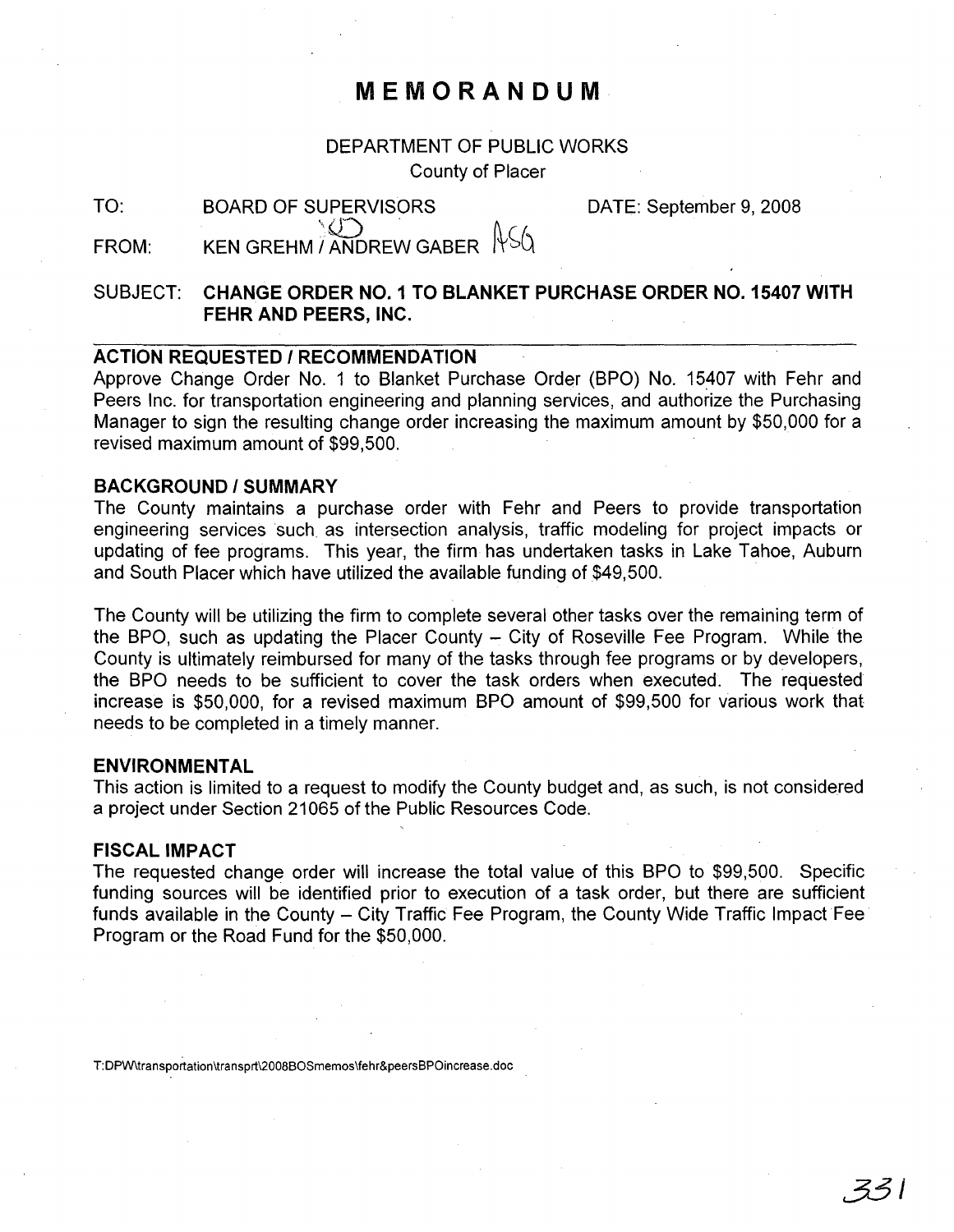# **MEMORANDUM**

## DEPARTMENT OF PUBLIC WORKS

County of Placer

| ×, | ۰,<br>×<br>۰. |  |
|----|---------------|--|

DATE: September 9, 2008

FROM: BOARD OF SUPERVISORS KEN GREHM / ANDREW GABER  $\frac{1}{56}$ 

# SUBJECT: **CHANGE ORDER NO.1 TO BLANKET PURCHASE ORDER NO. 15407 WITH FEHR AND PEERS, INC.**

### **ACTION REQUESTED / RECOMMENDATION**

Approve Change Order No. 1 to Blanket Purchase Order (BPO) No. 15407 with Fehr and Peers Inc. for transportation engineering and planning services, and authorize the Purchasing Manager to sign the resulting change order increasing the maximum amount by \$50,000 for a revised maximum amount of \$99,500.

### **BACKGROUND/SUMMARY**

The County maintains a purchase order with Fehr and Peers to provide transportation engineering services such as intersection analysis, traffic modeling for project impacts or updating of fee programs. This year, the firm has undertaken tasks in Lake Tahoe, Auburn and South Placer which have utilized the available funding of \$49,500.

The County will be utilizing the firm to complete several other tasks over the remaining term of the BPO, such as updating the Placer County  $-$  City of Roseville Fee Program. While the County is ultimately reimbursed for many of the tasks through fee programs or by developers, the SPO needs to be sufficient to cover the task orders when executed. The requested increase is \$50,000, for a revised maximum BPO amount of \$99,500 for various work that needs to be completed in a timely manner.

#### **ENVIRONMENTAL**

This action is limited to a request to modify the County budget and, as such, is not considered a project under Section 21065 of the Public Resources Code.

#### **FISCAL IMPACT**

The requested change order will increase the total value of this BPO to \$99,500. Specific funding sources will be identified prior to execution of a task order, but there are sufficient funds available in the County – City Traffic Fee Program, the County Wide Traffic Impact Fee Program or the Road Fund for the \$50,000.

T:DPW\transportation\transprt\2008BOSmemos\fehr&peersBPOincrease.doc